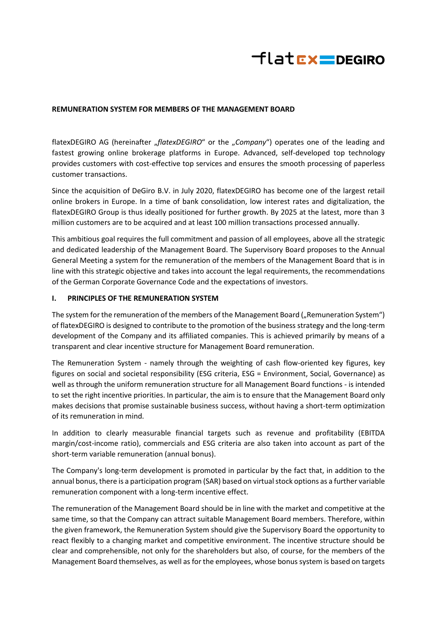

#### **REMUNERATION SYSTEM FOR MEMBERS OF THE MANAGEMENT BOARD**

flatexDEGIRO AG (hereinafter "*flatexDEGIRO*" or the "Company") operates one of the leading and fastest growing online brokerage platforms in Europe. Advanced, self-developed top technology provides customers with cost-effective top services and ensures the smooth processing of paperless customer transactions.

Since the acquisition of DeGiro B.V. in July 2020, flatexDEGIRO has become one of the largest retail online brokers in Europe. In a time of bank consolidation, low interest rates and digitalization, the flatexDEGIRO Group is thus ideally positioned for further growth. By 2025 at the latest, more than 3 million customers are to be acquired and at least 100 million transactions processed annually.

This ambitious goal requires the full commitment and passion of all employees, above all the strategic and dedicated leadership of the Management Board. The Supervisory Board proposes to the Annual General Meeting a system for the remuneration of the members of the Management Board that is in line with this strategic objective and takes into account the legal requirements, the recommendations of the German Corporate Governance Code and the expectations of investors.

#### **I. PRINCIPLES OF THE REMUNERATION SYSTEM**

The system for the remuneration of the members of the Management Board ("Remuneration System") of flatexDEGIRO is designed to contribute to the promotion of the business strategy and the long-term development of the Company and its affiliated companies. This is achieved primarily by means of a transparent and clear incentive structure for Management Board remuneration.

The Remuneration System - namely through the weighting of cash flow-oriented key figures, key figures on social and societal responsibility (ESG criteria, ESG = Environment, Social, Governance) as well as through the uniform remuneration structure for all Management Board functions - is intended to set the right incentive priorities. In particular, the aim is to ensure that the Management Board only makes decisions that promise sustainable business success, without having a short-term optimization of its remuneration in mind.

In addition to clearly measurable financial targets such as revenue and profitability (EBITDA margin/cost-income ratio), commercials and ESG criteria are also taken into account as part of the short-term variable remuneration (annual bonus).

The Company's long-term development is promoted in particular by the fact that, in addition to the annual bonus, there is a participation program (SAR) based on virtual stock options as a further variable remuneration component with a long-term incentive effect.

The remuneration of the Management Board should be in line with the market and competitive at the same time, so that the Company can attract suitable Management Board members. Therefore, within the given framework, the Remuneration System should give the Supervisory Board the opportunity to react flexibly to a changing market and competitive environment. The incentive structure should be clear and comprehensible, not only for the shareholders but also, of course, for the members of the Management Board themselves, as well as for the employees, whose bonus system is based on targets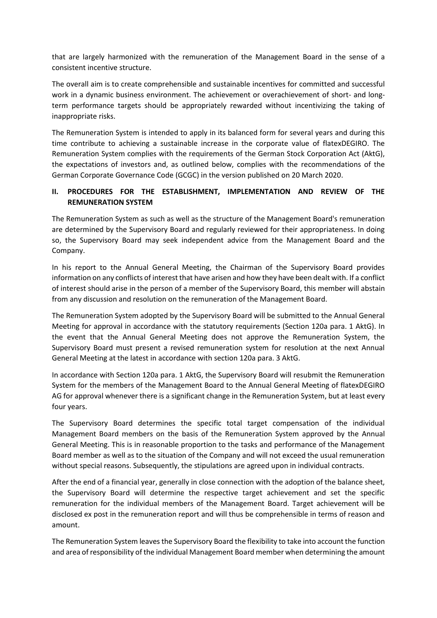that are largely harmonized with the remuneration of the Management Board in the sense of a consistent incentive structure.

The overall aim is to create comprehensible and sustainable incentives for committed and successful work in a dynamic business environment. The achievement or overachievement of short- and longterm performance targets should be appropriately rewarded without incentivizing the taking of inappropriate risks.

The Remuneration System is intended to apply in its balanced form for several years and during this time contribute to achieving a sustainable increase in the corporate value of flatexDEGIRO. The Remuneration System complies with the requirements of the German Stock Corporation Act (AktG), the expectations of investors and, as outlined below, complies with the recommendations of the German Corporate Governance Code (GCGC) in the version published on 20 March 2020.

# **II. PROCEDURES FOR THE ESTABLISHMENT, IMPLEMENTATION AND REVIEW OF THE REMUNERATION SYSTEM**

The Remuneration System as such as well as the structure of the Management Board's remuneration are determined by the Supervisory Board and regularly reviewed for their appropriateness. In doing so, the Supervisory Board may seek independent advice from the Management Board and the Company.

In his report to the Annual General Meeting, the Chairman of the Supervisory Board provides information on any conflicts of interest that have arisen and how they have been dealt with. If a conflict of interest should arise in the person of a member of the Supervisory Board, this member will abstain from any discussion and resolution on the remuneration of the Management Board.

The Remuneration System adopted by the Supervisory Board will be submitted to the Annual General Meeting for approval in accordance with the statutory requirements (Section 120a para. 1 AktG). In the event that the Annual General Meeting does not approve the Remuneration System, the Supervisory Board must present a revised remuneration system for resolution at the next Annual General Meeting at the latest in accordance with section 120a para. 3 AktG.

In accordance with Section 120a para. 1 AktG, the Supervisory Board will resubmit the Remuneration System for the members of the Management Board to the Annual General Meeting of flatexDEGIRO AG for approval whenever there is a significant change in the Remuneration System, but at least every four years.

The Supervisory Board determines the specific total target compensation of the individual Management Board members on the basis of the Remuneration System approved by the Annual General Meeting. This is in reasonable proportion to the tasks and performance of the Management Board member as well as to the situation of the Company and will not exceed the usual remuneration without special reasons. Subsequently, the stipulations are agreed upon in individual contracts.

After the end of a financial year, generally in close connection with the adoption of the balance sheet, the Supervisory Board will determine the respective target achievement and set the specific remuneration for the individual members of the Management Board. Target achievement will be disclosed ex post in the remuneration report and will thus be comprehensible in terms of reason and amount.

The Remuneration System leaves the Supervisory Board the flexibility to take into account the function and area of responsibility of the individual Management Board member when determining the amount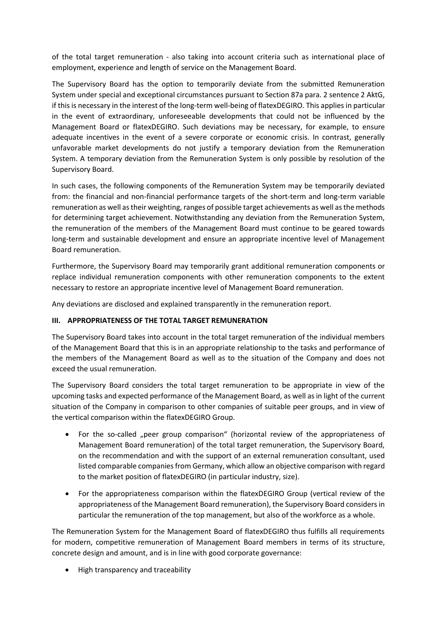of the total target remuneration - also taking into account criteria such as international place of employment, experience and length of service on the Management Board.

The Supervisory Board has the option to temporarily deviate from the submitted Remuneration System under special and exceptional circumstances pursuant to Section 87a para. 2 sentence 2 AktG, if this is necessary in the interest of the long-term well-being of flatexDEGIRO. This applies in particular in the event of extraordinary, unforeseeable developments that could not be influenced by the Management Board or flatexDEGIRO. Such deviations may be necessary, for example, to ensure adequate incentives in the event of a severe corporate or economic crisis. In contrast, generally unfavorable market developments do not justify a temporary deviation from the Remuneration System. A temporary deviation from the Remuneration System is only possible by resolution of the Supervisory Board.

In such cases, the following components of the Remuneration System may be temporarily deviated from: the financial and non-financial performance targets of the short-term and long-term variable remuneration as well as their weighting, ranges of possible target achievements as well as the methods for determining target achievement. Notwithstanding any deviation from the Remuneration System, the remuneration of the members of the Management Board must continue to be geared towards long-term and sustainable development and ensure an appropriate incentive level of Management Board remuneration.

Furthermore, the Supervisory Board may temporarily grant additional remuneration components or replace individual remuneration components with other remuneration components to the extent necessary to restore an appropriate incentive level of Management Board remuneration.

Any deviations are disclosed and explained transparently in the remuneration report.

### **III. APPROPRIATENESS OF THE TOTAL TARGET REMUNERATION**

The Supervisory Board takes into account in the total target remuneration of the individual members of the Management Board that this is in an appropriate relationship to the tasks and performance of the members of the Management Board as well as to the situation of the Company and does not exceed the usual remuneration.

The Supervisory Board considers the total target remuneration to be appropriate in view of the upcoming tasks and expected performance of the Management Board, as well as in light of the current situation of the Company in comparison to other companies of suitable peer groups, and in view of the vertical comparison within the flatexDEGIRO Group.

- For the so-called "peer group comparison" (horizontal review of the appropriateness of Management Board remuneration) of the total target remuneration, the Supervisory Board, on the recommendation and with the support of an external remuneration consultant, used listed comparable companies from Germany, which allow an objective comparison with regard to the market position of flatexDEGIRO (in particular industry, size).
- For the appropriateness comparison within the flatexDEGIRO Group (vertical review of the appropriateness of the Management Board remuneration), the Supervisory Board considers in particular the remuneration of the top management, but also of the workforce as a whole.

The Remuneration System for the Management Board of flatexDEGIRO thus fulfills all requirements for modern, competitive remuneration of Management Board members in terms of its structure, concrete design and amount, and is in line with good corporate governance:

• High transparency and traceability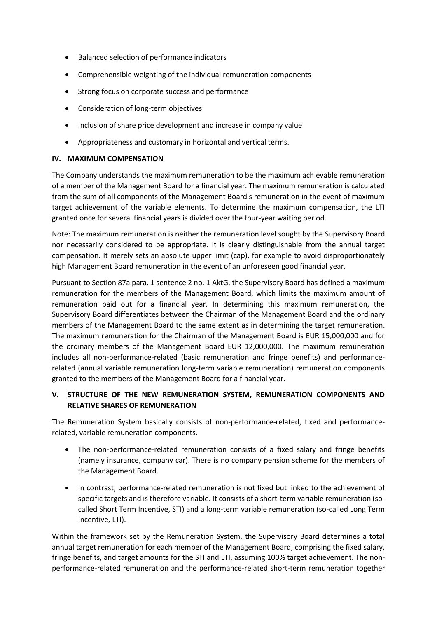- Balanced selection of performance indicators
- Comprehensible weighting of the individual remuneration components
- Strong focus on corporate success and performance
- Consideration of long-term objectives
- Inclusion of share price development and increase in company value
- Appropriateness and customary in horizontal and vertical terms.

### **IV. MAXIMUM COMPENSATION**

The Company understands the maximum remuneration to be the maximum achievable remuneration of a member of the Management Board for a financial year. The maximum remuneration is calculated from the sum of all components of the Management Board's remuneration in the event of maximum target achievement of the variable elements. To determine the maximum compensation, the LTI granted once for several financial years is divided over the four-year waiting period.

Note: The maximum remuneration is neither the remuneration level sought by the Supervisory Board nor necessarily considered to be appropriate. It is clearly distinguishable from the annual target compensation. It merely sets an absolute upper limit (cap), for example to avoid disproportionately high Management Board remuneration in the event of an unforeseen good financial year.

Pursuant to Section 87a para. 1 sentence 2 no. 1 AktG, the Supervisory Board has defined a maximum remuneration for the members of the Management Board, which limits the maximum amount of remuneration paid out for a financial year. In determining this maximum remuneration, the Supervisory Board differentiates between the Chairman of the Management Board and the ordinary members of the Management Board to the same extent as in determining the target remuneration. The maximum remuneration for the Chairman of the Management Board is EUR 15,000,000 and for the ordinary members of the Management Board EUR 12,000,000. The maximum remuneration includes all non-performance-related (basic remuneration and fringe benefits) and performancerelated (annual variable remuneration long-term variable remuneration) remuneration components granted to the members of the Management Board for a financial year.

# **V. STRUCTURE OF THE NEW REMUNERATION SYSTEM, REMUNERATION COMPONENTS AND RELATIVE SHARES OF REMUNERATION**

The Remuneration System basically consists of non-performance-related, fixed and performancerelated, variable remuneration components.

- The non-performance-related remuneration consists of a fixed salary and fringe benefits (namely insurance, company car). There is no company pension scheme for the members of the Management Board.
- In contrast, performance-related remuneration is not fixed but linked to the achievement of specific targets and is therefore variable. It consists of a short-term variable remuneration (socalled Short Term Incentive, STI) and a long-term variable remuneration (so-called Long Term Incentive, LTI).

Within the framework set by the Remuneration System, the Supervisory Board determines a total annual target remuneration for each member of the Management Board, comprising the fixed salary, fringe benefits, and target amounts for the STI and LTI, assuming 100% target achievement. The nonperformance-related remuneration and the performance-related short-term remuneration together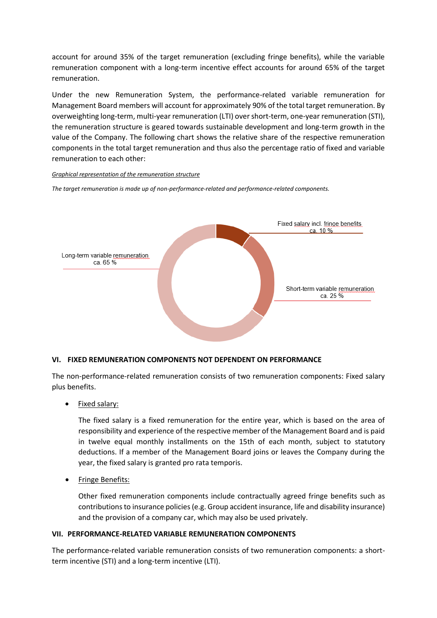account for around 35% of the target remuneration (excluding fringe benefits), while the variable remuneration component with a long-term incentive effect accounts for around 65% of the target remuneration.

Under the new Remuneration System, the performance-related variable remuneration for Management Board members will account for approximately 90% of the total target remuneration. By overweighting long-term, multi-year remuneration (LTI) over short-term, one-year remuneration (STI), the remuneration structure is geared towards sustainable development and long-term growth in the value of the Company. The following chart shows the relative share of the respective remuneration components in the total target remuneration and thus also the percentage ratio of fixed and variable remuneration to each other:

*Graphical representation of the remuneration structure*

*The target remuneration is made up of non-performance-related and performance-related components.* 



### **VI. FIXED REMUNERATION COMPONENTS NOT DEPENDENT ON PERFORMANCE**

The non-performance-related remuneration consists of two remuneration components: Fixed salary plus benefits.

• Fixed salary:

The fixed salary is a fixed remuneration for the entire year, which is based on the area of responsibility and experience of the respective member of the Management Board and is paid in twelve equal monthly installments on the 15th of each month, subject to statutory deductions. If a member of the Management Board joins or leaves the Company during the year, the fixed salary is granted pro rata temporis.

• Fringe Benefits:

Other fixed remuneration components include contractually agreed fringe benefits such as contributions to insurance policies (e.g. Group accident insurance, life and disability insurance) and the provision of a company car, which may also be used privately.

### **VII. PERFORMANCE-RELATED VARIABLE REMUNERATION COMPONENTS**

The performance-related variable remuneration consists of two remuneration components: a shortterm incentive (STI) and a long-term incentive (LTI).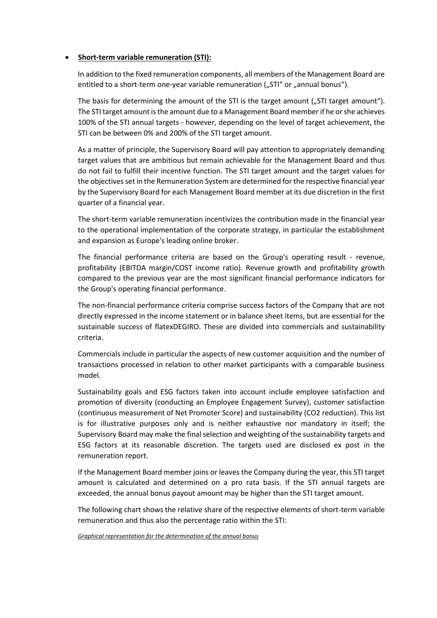### • **Short-term variable remuneration (STI):**

In addition to the fixed remuneration components, all members of the Management Board are entitled to a short-term one-year variable remuneration ("STI" or "annual bonus").

The basis for determining the amount of the STI is the target amount ("STI target amount"). The STI target amount is the amount due to a Management Board member if he or she achieves 100% of the STI annual targets - however, depending on the level of target achievement, the STI can be between 0% and 200% of the STI target amount.

As a matter of principle, the Supervisory Board will pay attention to appropriately demanding target values that are ambitious but remain achievable for the Management Board and thus do not fail to fulfill their incentive function. The STI target amount and the target values for the objectives set in the Remuneration System are determined for the respective financial year by the Supervisory Board for each Management Board member at its due discretion in the first quarter of a financial year.

The short-term variable remuneration incentivizes the contribution made in the financial year to the operational implementation of the corporate strategy, in particular the establishment and expansion as Europe's leading online broker.

The financial performance criteria are based on the Group's operating result - revenue, profitability (EBITDA margin/COST income ratio). Revenue growth and profitability growth compared to the previous year are the most significant financial performance indicators for the Group's operating financial performance.

The non-financial performance criteria comprise success factors of the Company that are not directly expressed in the income statement or in balance sheet items, but are essential for the sustainable success of flatexDEGIRO. These are divided into commercials and sustainability criteria.

Commercials include in particular the aspects of new customer acquisition and the number of transactions processed in relation to other market participants with a comparable business model.

Sustainability goals and ESG factors taken into account include employee satisfaction and promotion of diversity (conducting an Employee Engagement Survey), customer satisfaction (continuous measurement of Net Promoter Score) and sustainability (CO2 reduction). This list is for illustrative purposes only and is neither exhaustive nor mandatory in itself; the Supervisory Board may make the final selection and weighting of the sustainability targets and ESG factors at its reasonable discretion. The targets used are disclosed ex post in the remuneration report.

If the Management Board member joins or leaves the Company during the year, this STI target amount is calculated and determined on a pro rata basis. If the STI annual targets are exceeded, the annual bonus payout amount may be higher than the STI target amount.

The following chart shows the relative share of the respective elements of short-term variable remuneration and thus also the percentage ratio within the STI:

*Graphical representation for the determination of the annual bonus*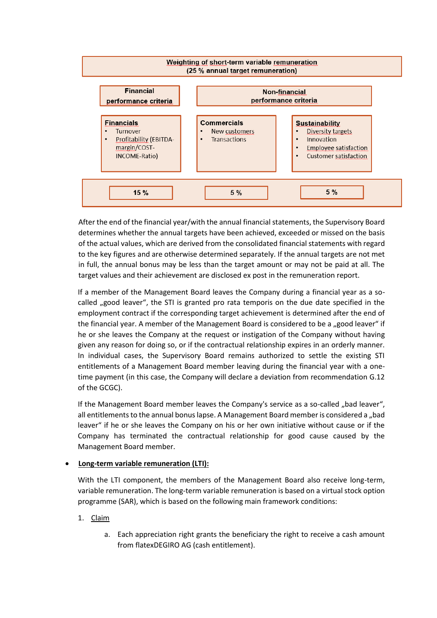

After the end of the financial year/with the annual financial statements, the Supervisory Board determines whether the annual targets have been achieved, exceeded or missed on the basis of the actual values, which are derived from the consolidated financial statements with regard to the key figures and are otherwise determined separately. If the annual targets are not met in full, the annual bonus may be less than the target amount or may not be paid at all. The target values and their achievement are disclosed ex post in the remuneration report.

If a member of the Management Board leaves the Company during a financial year as a socalled "good leaver", the STI is granted pro rata temporis on the due date specified in the employment contract if the corresponding target achievement is determined after the end of the financial year. A member of the Management Board is considered to be a "good leaver" if he or she leaves the Company at the request or instigation of the Company without having given any reason for doing so, or if the contractual relationship expires in an orderly manner. In individual cases, the Supervisory Board remains authorized to settle the existing STI entitlements of a Management Board member leaving during the financial year with a onetime payment (in this case, the Company will declare a deviation from recommendation G.12 of the GCGC).

If the Management Board member leaves the Company's service as a so-called "bad leaver", all entitlements to the annual bonus lapse. A Management Board member is considered a "bad leaver" if he or she leaves the Company on his or her own initiative without cause or if the Company has terminated the contractual relationship for good cause caused by the Management Board member.

### • **Long-term variable remuneration (LTI):**

With the LTI component, the members of the Management Board also receive long-term, variable remuneration. The long-term variable remuneration is based on a virtual stock option programme (SAR), which is based on the following main framework conditions:

- 1. Claim
	- a. Each appreciation right grants the beneficiary the right to receive a cash amount from flatexDEGIRO AG (cash entitlement).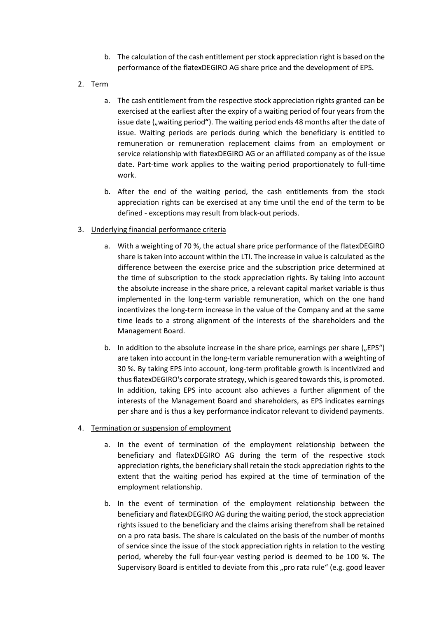- b. The calculation of the cash entitlement per stock appreciation right is based on the performance of the flatexDEGIRO AG share price and the development of EPS.
- 2. Term
	- a. The cash entitlement from the respective stock appreciation rights granted can be exercised at the earliest after the expiry of a waiting period of four years from the issue date ("waiting period"). The waiting period ends 48 months after the date of issue. Waiting periods are periods during which the beneficiary is entitled to remuneration or remuneration replacement claims from an employment or service relationship with flatexDEGIRO AG or an affiliated company as of the issue date. Part-time work applies to the waiting period proportionately to full-time work.
	- b. After the end of the waiting period, the cash entitlements from the stock appreciation rights can be exercised at any time until the end of the term to be defined - exceptions may result from black-out periods.
- 3. Underlying financial performance criteria
	- a. With a weighting of 70 %, the actual share price performance of the flatexDEGIRO share is taken into account within the LTI. The increase in value is calculated as the difference between the exercise price and the subscription price determined at the time of subscription to the stock appreciation rights. By taking into account the absolute increase in the share price, a relevant capital market variable is thus implemented in the long-term variable remuneration, which on the one hand incentivizes the long-term increase in the value of the Company and at the same time leads to a strong alignment of the interests of the shareholders and the Management Board.
	- b. In addition to the absolute increase in the share price, earnings per share  $\mathcal{L}_n$  EPS") are taken into account in the long-term variable remuneration with a weighting of 30 %. By taking EPS into account, long-term profitable growth is incentivized and thus flatexDEGIRO's corporate strategy, which is geared towards this, is promoted. In addition, taking EPS into account also achieves a further alignment of the interests of the Management Board and shareholders, as EPS indicates earnings per share and is thus a key performance indicator relevant to dividend payments.
- 4. Termination or suspension of employment
	- a. In the event of termination of the employment relationship between the beneficiary and flatexDEGIRO AG during the term of the respective stock appreciation rights, the beneficiary shall retain the stock appreciation rights to the extent that the waiting period has expired at the time of termination of the employment relationship.
	- b. In the event of termination of the employment relationship between the beneficiary and flatexDEGIRO AG during the waiting period, the stock appreciation rights issued to the beneficiary and the claims arising therefrom shall be retained on a pro rata basis. The share is calculated on the basis of the number of months of service since the issue of the stock appreciation rights in relation to the vesting period, whereby the full four-year vesting period is deemed to be 100 %. The Supervisory Board is entitled to deviate from this "pro rata rule" (e.g. good leaver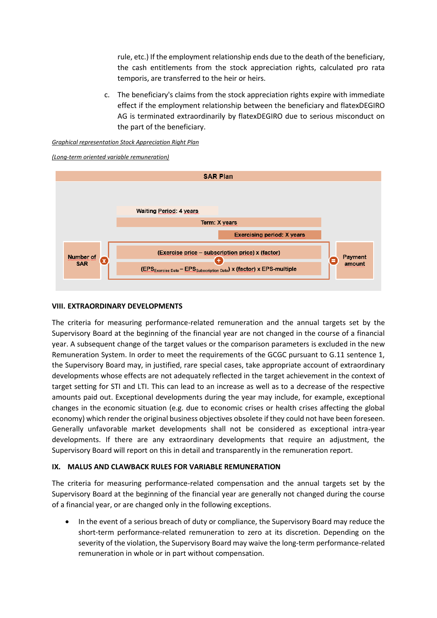rule, etc.) If the employment relationship ends due to the death of the beneficiary, the cash entitlements from the stock appreciation rights, calculated pro rata temporis, are transferred to the heir or heirs.

c. The beneficiary's claims from the stock appreciation rights expire with immediate effect if the employment relationship between the beneficiary and flatexDEGIRO AG is terminated extraordinarily by flatexDEGIRO due to serious misconduct on the part of the beneficiary.





*(Long-term oriented variable remuneration)*

### **VIII. EXTRAORDINARY DEVELOPMENTS**

The criteria for measuring performance-related remuneration and the annual targets set by the Supervisory Board at the beginning of the financial year are not changed in the course of a financial year. A subsequent change of the target values or the comparison parameters is excluded in the new Remuneration System. In order to meet the requirements of the GCGC pursuant to G.11 sentence 1, the Supervisory Board may, in justified, rare special cases, take appropriate account of extraordinary developments whose effects are not adequately reflected in the target achievement in the context of target setting for STI and LTI. This can lead to an increase as well as to a decrease of the respective amounts paid out. Exceptional developments during the year may include, for example, exceptional changes in the economic situation (e.g. due to economic crises or health crises affecting the global economy) which render the original business objectives obsolete if they could not have been foreseen. Generally unfavorable market developments shall not be considered as exceptional intra-year developments. If there are any extraordinary developments that require an adjustment, the Supervisory Board will report on this in detail and transparently in the remuneration report.

### **IX. MALUS AND CLAWBACK RULES FOR VARIABLE REMUNERATION**

The criteria for measuring performance-related compensation and the annual targets set by the Supervisory Board at the beginning of the financial year are generally not changed during the course of a financial year, or are changed only in the following exceptions.

• In the event of a serious breach of duty or compliance, the Supervisory Board may reduce the short-term performance-related remuneration to zero at its discretion. Depending on the severity of the violation, the Supervisory Board may waive the long-term performance-related remuneration in whole or in part without compensation.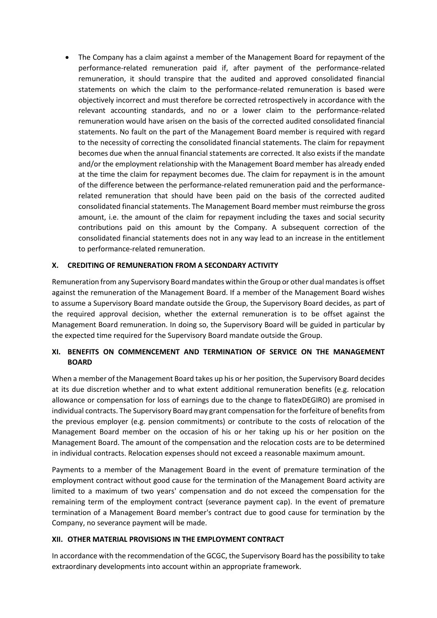• The Company has a claim against a member of the Management Board for repayment of the performance-related remuneration paid if, after payment of the performance-related remuneration, it should transpire that the audited and approved consolidated financial statements on which the claim to the performance-related remuneration is based were objectively incorrect and must therefore be corrected retrospectively in accordance with the relevant accounting standards, and no or a lower claim to the performance-related remuneration would have arisen on the basis of the corrected audited consolidated financial statements. No fault on the part of the Management Board member is required with regard to the necessity of correcting the consolidated financial statements. The claim for repayment becomes due when the annual financial statements are corrected. It also exists if the mandate and/or the employment relationship with the Management Board member has already ended at the time the claim for repayment becomes due. The claim for repayment is in the amount of the difference between the performance-related remuneration paid and the performancerelated remuneration that should have been paid on the basis of the corrected audited consolidated financial statements. The Management Board member must reimburse the gross amount, i.e. the amount of the claim for repayment including the taxes and social security contributions paid on this amount by the Company. A subsequent correction of the consolidated financial statements does not in any way lead to an increase in the entitlement to performance-related remuneration.

### **X. CREDITING OF REMUNERATION FROM A SECONDARY ACTIVITY**

Remuneration from any Supervisory Board mandates within the Group or other dual mandates is offset against the remuneration of the Management Board. If a member of the Management Board wishes to assume a Supervisory Board mandate outside the Group, the Supervisory Board decides, as part of the required approval decision, whether the external remuneration is to be offset against the Management Board remuneration. In doing so, the Supervisory Board will be guided in particular by the expected time required for the Supervisory Board mandate outside the Group.

# **XI. BENEFITS ON COMMENCEMENT AND TERMINATION OF SERVICE ON THE MANAGEMENT BOARD**

When a member of the Management Board takes up his or her position, the Supervisory Board decides at its due discretion whether and to what extent additional remuneration benefits (e.g. relocation allowance or compensation for loss of earnings due to the change to flatexDEGIRO) are promised in individual contracts. The Supervisory Board may grant compensation for the forfeiture of benefits from the previous employer (e.g. pension commitments) or contribute to the costs of relocation of the Management Board member on the occasion of his or her taking up his or her position on the Management Board. The amount of the compensation and the relocation costs are to be determined in individual contracts. Relocation expenses should not exceed a reasonable maximum amount.

Payments to a member of the Management Board in the event of premature termination of the employment contract without good cause for the termination of the Management Board activity are limited to a maximum of two years' compensation and do not exceed the compensation for the remaining term of the employment contract (severance payment cap). In the event of premature termination of a Management Board member's contract due to good cause for termination by the Company, no severance payment will be made.

### **XII. OTHER MATERIAL PROVISIONS IN THE EMPLOYMENT CONTRACT**

In accordance with the recommendation of the GCGC, the Supervisory Board has the possibility to take extraordinary developments into account within an appropriate framework.